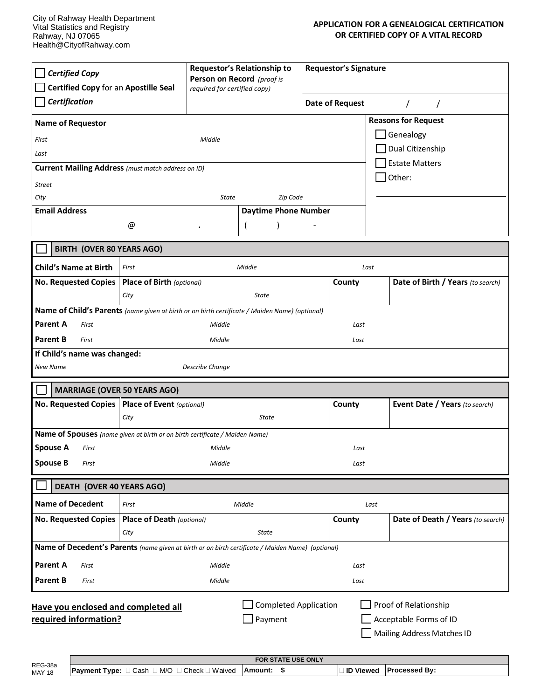| <b>Certified Copy</b>                                                                                                                                                                    |                                          | Requestor's Relationship to<br>Person on Record (proof is |                             | <b>Requestor's Signature</b> |                 |                                   |  |
|------------------------------------------------------------------------------------------------------------------------------------------------------------------------------------------|------------------------------------------|-----------------------------------------------------------|-----------------------------|------------------------------|-----------------|-----------------------------------|--|
| Certified Copy for an Apostille Seal                                                                                                                                                     |                                          | required for certified copy)                              |                             |                              |                 |                                   |  |
| Certification                                                                                                                                                                            |                                          |                                                           |                             |                              | Date of Request |                                   |  |
| <b>Name of Requestor</b>                                                                                                                                                                 |                                          |                                                           |                             |                              |                 | <b>Reasons for Request</b>        |  |
| First                                                                                                                                                                                    |                                          | Middle                                                    |                             |                              |                 | Genealogy                         |  |
| Last                                                                                                                                                                                     |                                          |                                                           |                             |                              |                 | Dual Citizenship                  |  |
| <b>Current Mailing Address</b> (must match address on ID)                                                                                                                                |                                          |                                                           |                             |                              |                 | <b>Estate Matters</b>             |  |
| Other:<br><b>Street</b>                                                                                                                                                                  |                                          |                                                           |                             |                              |                 |                                   |  |
| City                                                                                                                                                                                     |                                          |                                                           | Zip Code<br>State           |                              |                 |                                   |  |
| <b>Email Address</b>                                                                                                                                                                     |                                          |                                                           | <b>Daytime Phone Number</b> |                              |                 |                                   |  |
|                                                                                                                                                                                          | @                                        |                                                           |                             |                              |                 |                                   |  |
| <b>BIRTH (OVER 80 YEARS AGO)</b>                                                                                                                                                         |                                          |                                                           |                             |                              |                 |                                   |  |
| <b>Child's Name at Birth</b>                                                                                                                                                             | First                                    |                                                           | Middle                      |                              | Last            |                                   |  |
| <b>No. Requested Copies</b>                                                                                                                                                              | <b>Place of Birth (optional)</b>         |                                                           |                             |                              | County          | Date of Birth / Years (to search) |  |
|                                                                                                                                                                                          | City                                     |                                                           | <b>State</b>                |                              |                 |                                   |  |
| Name of Child's Parents (name given at birth or on birth certificate / Maiden Name) (optional)                                                                                           |                                          |                                                           |                             |                              |                 |                                   |  |
| <b>Parent A</b><br>First                                                                                                                                                                 |                                          | Middle                                                    |                             |                              | Last            |                                   |  |
| <b>Parent B</b><br>First<br>Middle                                                                                                                                                       |                                          |                                                           |                             | Last                         |                 |                                   |  |
| If Child's name was changed:                                                                                                                                                             |                                          |                                                           |                             |                              |                 |                                   |  |
| <b>New Name</b>                                                                                                                                                                          |                                          | <b>Describe Change</b>                                    |                             |                              |                 |                                   |  |
| <b>MARRIAGE (OVER 50 YEARS AGO)</b>                                                                                                                                                      |                                          |                                                           |                             |                              |                 |                                   |  |
| <b>No. Requested Copies</b>                                                                                                                                                              | Place of Event (optional)                |                                                           |                             |                              | County          | Event Date / Years (to search)    |  |
|                                                                                                                                                                                          | City                                     |                                                           | State                       |                              |                 |                                   |  |
| Name of Spouses (name given at birth or on birth certificate / Maiden Name)                                                                                                              |                                          |                                                           |                             |                              |                 |                                   |  |
| <b>Spouse A</b><br>First                                                                                                                                                                 |                                          | Middle                                                    |                             |                              | Last            |                                   |  |
| <b>Spouse B</b><br>First                                                                                                                                                                 |                                          | Middle                                                    |                             |                              | Last            |                                   |  |
| DEATH (OVER 40 YEARS AGO)                                                                                                                                                                |                                          |                                                           |                             |                              |                 |                                   |  |
| <b>Name of Decedent</b>                                                                                                                                                                  |                                          |                                                           |                             |                              |                 |                                   |  |
| First                                                                                                                                                                                    |                                          |                                                           | Middle                      |                              | Last            |                                   |  |
| <b>No. Requested Copies</b>                                                                                                                                                              | <b>Place of Death (optional)</b><br>City |                                                           | State                       |                              | County          | Date of Death / Years (to search) |  |
| Name of Decedent's Parents (name given at birth or on birth certificate / Maiden Name) (optional)                                                                                        |                                          |                                                           |                             |                              |                 |                                   |  |
|                                                                                                                                                                                          |                                          |                                                           |                             |                              |                 |                                   |  |
| <b>Parent A</b><br>First                                                                                                                                                                 |                                          | Middle                                                    |                             |                              | Last            |                                   |  |
| <b>Parent B</b><br>First                                                                                                                                                                 |                                          | Middle                                                    |                             |                              | Last            |                                   |  |
| <b>Completed Application</b><br>Proof of Relationship<br>Have you enclosed and completed all<br>required information?<br>Payment<br>Acceptable Forms of ID<br>Mailing Address Matches ID |                                          |                                                           |                             |                              |                 |                                   |  |

|                          | <b>FOR STATE USE ONLY</b>                                      |                |                  |                      |  |  |  |
|--------------------------|----------------------------------------------------------------|----------------|------------------|----------------------|--|--|--|
| REG-38a<br><b>MAY 18</b> | M/O<br>∃ Waived<br>l Check [<br>l Cash<br><b>Payment Type:</b> | <b>Amount:</b> | <b>ID Viewed</b> | <b>Processed Bv:</b> |  |  |  |